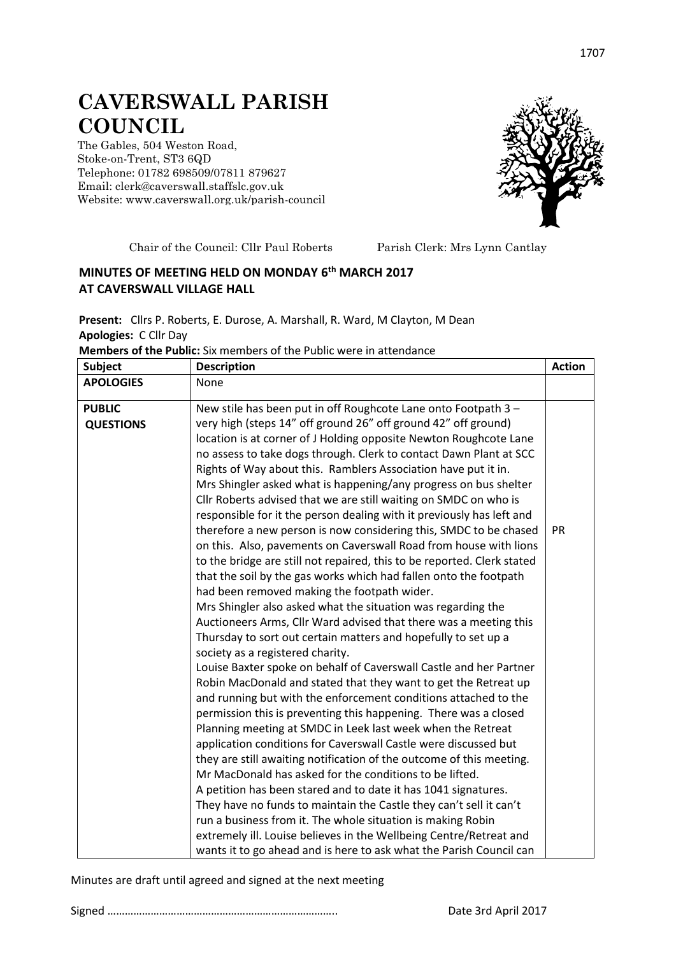## **CAVERSWALL PARISH COUNCIL**

The Gables, 504 Weston Road, Stoke-on-Trent, ST3 6QD Telephone: 01782 698509/07811 879627 Email: clerk@caverswall.staffslc.gov.uk Website: [www.c](http://www.dilhorneparishcouncil.co.uk/)averswall.org.uk/parish-council



Chair of the Council: Cllr Paul Roberts Parish Clerk: Mrs Lynn Cantlay

## **MINUTES OF MEETING HELD ON MONDAY 6 th MARCH 2017 AT CAVERSWALL VILLAGE HALL**

**Present:** Cllrs P. Roberts, E. Durose, A. Marshall, R. Ward, M Clayton, M Dean **Apologies:** C Cllr Day

| <b>Members of the Public:</b> Six members of the Public were in attendance |  |  |  |
|----------------------------------------------------------------------------|--|--|--|
|----------------------------------------------------------------------------|--|--|--|

| <b>Subject</b>                    | <b>Description</b>                                                                                                                                                                                                                                                                                                                                                                                                                                                                                                                                                                                                                                                                                                                                                                                                                                                                                                                                                                                                                                                                                                                                                                                                                                                                                                                                                                                                                                                                                                                                                                                                                                                                                      | <b>Action</b> |
|-----------------------------------|---------------------------------------------------------------------------------------------------------------------------------------------------------------------------------------------------------------------------------------------------------------------------------------------------------------------------------------------------------------------------------------------------------------------------------------------------------------------------------------------------------------------------------------------------------------------------------------------------------------------------------------------------------------------------------------------------------------------------------------------------------------------------------------------------------------------------------------------------------------------------------------------------------------------------------------------------------------------------------------------------------------------------------------------------------------------------------------------------------------------------------------------------------------------------------------------------------------------------------------------------------------------------------------------------------------------------------------------------------------------------------------------------------------------------------------------------------------------------------------------------------------------------------------------------------------------------------------------------------------------------------------------------------------------------------------------------------|---------------|
| <b>APOLOGIES</b>                  | None                                                                                                                                                                                                                                                                                                                                                                                                                                                                                                                                                                                                                                                                                                                                                                                                                                                                                                                                                                                                                                                                                                                                                                                                                                                                                                                                                                                                                                                                                                                                                                                                                                                                                                    |               |
| <b>PUBLIC</b><br><b>QUESTIONS</b> | New stile has been put in off Roughcote Lane onto Footpath 3 -<br>very high (steps 14" off ground 26" off ground 42" off ground)<br>location is at corner of J Holding opposite Newton Roughcote Lane<br>no assess to take dogs through. Clerk to contact Dawn Plant at SCC<br>Rights of Way about this. Ramblers Association have put it in.<br>Mrs Shingler asked what is happening/any progress on bus shelter<br>Cllr Roberts advised that we are still waiting on SMDC on who is<br>responsible for it the person dealing with it previously has left and<br>therefore a new person is now considering this, SMDC to be chased<br>on this. Also, pavements on Caverswall Road from house with lions<br>to the bridge are still not repaired, this to be reported. Clerk stated<br>that the soil by the gas works which had fallen onto the footpath<br>had been removed making the footpath wider.<br>Mrs Shingler also asked what the situation was regarding the<br>Auctioneers Arms, Cllr Ward advised that there was a meeting this<br>Thursday to sort out certain matters and hopefully to set up a<br>society as a registered charity.<br>Louise Baxter spoke on behalf of Caverswall Castle and her Partner<br>Robin MacDonald and stated that they want to get the Retreat up<br>and running but with the enforcement conditions attached to the<br>permission this is preventing this happening. There was a closed<br>Planning meeting at SMDC in Leek last week when the Retreat<br>application conditions for Caverswall Castle were discussed but<br>they are still awaiting notification of the outcome of this meeting.<br>Mr MacDonald has asked for the conditions to be lifted. | <b>PR</b>     |
|                                   |                                                                                                                                                                                                                                                                                                                                                                                                                                                                                                                                                                                                                                                                                                                                                                                                                                                                                                                                                                                                                                                                                                                                                                                                                                                                                                                                                                                                                                                                                                                                                                                                                                                                                                         |               |
|                                   | A petition has been stared and to date it has 1041 signatures.<br>They have no funds to maintain the Castle they can't sell it can't<br>run a business from it. The whole situation is making Robin<br>extremely ill. Louise believes in the Wellbeing Centre/Retreat and                                                                                                                                                                                                                                                                                                                                                                                                                                                                                                                                                                                                                                                                                                                                                                                                                                                                                                                                                                                                                                                                                                                                                                                                                                                                                                                                                                                                                               |               |
|                                   | wants it to go ahead and is here to ask what the Parish Council can                                                                                                                                                                                                                                                                                                                                                                                                                                                                                                                                                                                                                                                                                                                                                                                                                                                                                                                                                                                                                                                                                                                                                                                                                                                                                                                                                                                                                                                                                                                                                                                                                                     |               |

Minutes are draft until agreed and signed at the next meeting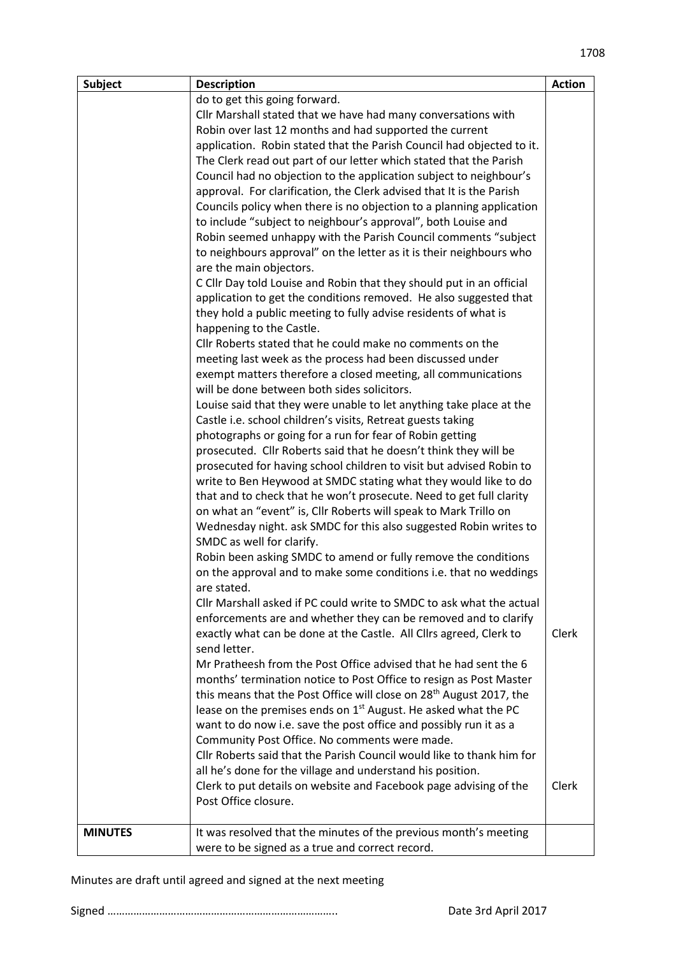| <b>Subject</b> | <b>Description</b>                                                              | <b>Action</b> |
|----------------|---------------------------------------------------------------------------------|---------------|
|                | do to get this going forward.                                                   |               |
|                | Cllr Marshall stated that we have had many conversations with                   |               |
|                | Robin over last 12 months and had supported the current                         |               |
|                | application. Robin stated that the Parish Council had objected to it.           |               |
|                | The Clerk read out part of our letter which stated that the Parish              |               |
|                | Council had no objection to the application subject to neighbour's              |               |
|                | approval. For clarification, the Clerk advised that It is the Parish            |               |
|                | Councils policy when there is no objection to a planning application            |               |
|                | to include "subject to neighbour's approval", both Louise and                   |               |
|                | Robin seemed unhappy with the Parish Council comments "subject                  |               |
|                | to neighbours approval" on the letter as it is their neighbours who             |               |
|                | are the main objectors.                                                         |               |
|                | C Cllr Day told Louise and Robin that they should put in an official            |               |
|                | application to get the conditions removed. He also suggested that               |               |
|                | they hold a public meeting to fully advise residents of what is                 |               |
|                | happening to the Castle.                                                        |               |
|                | Cllr Roberts stated that he could make no comments on the                       |               |
|                | meeting last week as the process had been discussed under                       |               |
|                | exempt matters therefore a closed meeting, all communications                   |               |
|                | will be done between both sides solicitors.                                     |               |
|                | Louise said that they were unable to let anything take place at the             |               |
|                | Castle i.e. school children's visits, Retreat guests taking                     |               |
|                | photographs or going for a run for fear of Robin getting                        |               |
|                | prosecuted. Cllr Roberts said that he doesn't think they will be                |               |
|                | prosecuted for having school children to visit but advised Robin to             |               |
|                | write to Ben Heywood at SMDC stating what they would like to do                 |               |
|                | that and to check that he won't prosecute. Need to get full clarity             |               |
|                | on what an "event" is, Cllr Roberts will speak to Mark Trillo on                |               |
|                | Wednesday night. ask SMDC for this also suggested Robin writes to               |               |
|                | SMDC as well for clarify.                                                       |               |
|                | Robin been asking SMDC to amend or fully remove the conditions                  |               |
|                | on the approval and to make some conditions i.e. that no weddings               |               |
|                | are stated.                                                                     |               |
|                | Cllr Marshall asked if PC could write to SMDC to ask what the actual            |               |
|                | enforcements are and whether they can be removed and to clarify                 |               |
|                | exactly what can be done at the Castle. All Cllrs agreed, Clerk to              | Clerk         |
|                | send letter.                                                                    |               |
|                | Mr Pratheesh from the Post Office advised that he had sent the 6                |               |
|                | months' termination notice to Post Office to resign as Post Master              |               |
|                | this means that the Post Office will close on 28 <sup>th</sup> August 2017, the |               |
|                | lease on the premises ends on 1 <sup>st</sup> August. He asked what the PC      |               |
|                | want to do now i.e. save the post office and possibly run it as a               |               |
|                | Community Post Office. No comments were made.                                   |               |
|                | Cllr Roberts said that the Parish Council would like to thank him for           |               |
|                | all he's done for the village and understand his position.                      |               |
|                | Clerk to put details on website and Facebook page advising of the               | Clerk         |
|                | Post Office closure.                                                            |               |
|                |                                                                                 |               |
| <b>MINUTES</b> | It was resolved that the minutes of the previous month's meeting                |               |
|                | were to be signed as a true and correct record.                                 |               |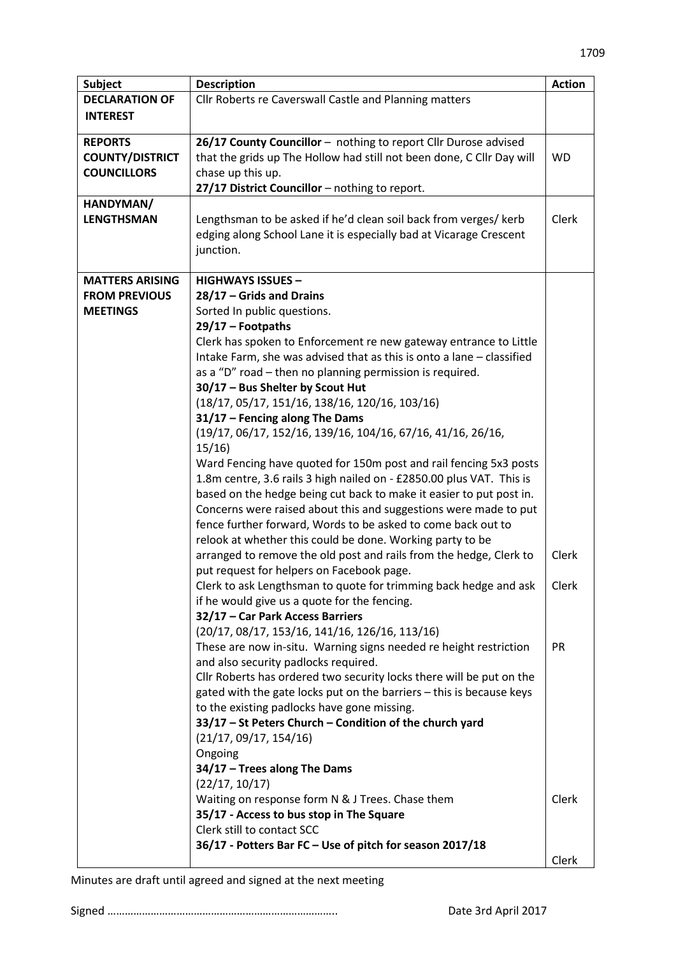| <b>Subject</b>         | <b>Description</b>                                                       | <b>Action</b> |
|------------------------|--------------------------------------------------------------------------|---------------|
| <b>DECLARATION OF</b>  | Cllr Roberts re Caverswall Castle and Planning matters                   |               |
| <b>INTEREST</b>        |                                                                          |               |
|                        |                                                                          |               |
| <b>REPORTS</b>         | 26/17 County Councillor - nothing to report Cllr Durose advised          |               |
| <b>COUNTY/DISTRICT</b> | that the grids up The Hollow had still not been done, C Cllr Day will    | <b>WD</b>     |
| <b>COUNCILLORS</b>     | chase up this up.                                                        |               |
|                        | 27/17 District Councillor - nothing to report.                           |               |
| HANDYMAN/              |                                                                          |               |
| <b>LENGTHSMAN</b>      | Lengthsman to be asked if he'd clean soil back from verges/ kerb         | Clerk         |
|                        | edging along School Lane it is especially bad at Vicarage Crescent       |               |
|                        | junction.                                                                |               |
|                        |                                                                          |               |
| <b>MATTERS ARISING</b> | <b>HIGHWAYS ISSUES -</b>                                                 |               |
| <b>FROM PREVIOUS</b>   | 28/17 - Grids and Drains                                                 |               |
| <b>MEETINGS</b>        | Sorted In public questions.                                              |               |
|                        | 29/17 - Footpaths                                                        |               |
|                        | Clerk has spoken to Enforcement re new gateway entrance to Little        |               |
|                        | Intake Farm, she was advised that as this is onto a lane - classified    |               |
|                        | as a "D" road - then no planning permission is required.                 |               |
|                        | 30/17 - Bus Shelter by Scout Hut                                         |               |
|                        | $(18/17, 05/17, 151/16, 138/16, 120/16, 103/16)$                         |               |
|                        | $31/17$ – Fencing along The Dams                                         |               |
|                        | (19/17, 06/17, 152/16, 139/16, 104/16, 67/16, 41/16, 26/16,              |               |
|                        | 15/16                                                                    |               |
|                        | Ward Fencing have quoted for 150m post and rail fencing 5x3 posts        |               |
|                        | 1.8m centre, 3.6 rails 3 high nailed on - £2850.00 plus VAT. This is     |               |
|                        | based on the hedge being cut back to make it easier to put post in.      |               |
|                        | Concerns were raised about this and suggestions were made to put         |               |
|                        | fence further forward, Words to be asked to come back out to             |               |
|                        | relook at whether this could be done. Working party to be                |               |
|                        | arranged to remove the old post and rails from the hedge, Clerk to       | Clerk         |
|                        | put request for helpers on Facebook page.                                |               |
|                        | Clerk to ask Lengthsman to quote for trimming back hedge and ask $\vert$ | Clerk         |
|                        | if he would give us a quote for the fencing.                             |               |
|                        | 32/17 - Car Park Access Barriers                                         |               |
|                        | $(20/17, 08/17, 153/16, 141/16, 126/16, 113/16)$                         |               |
|                        | These are now in-situ. Warning signs needed re height restriction        | <b>PR</b>     |
|                        | and also security padlocks required.                                     |               |
|                        | Cllr Roberts has ordered two security locks there will be put on the     |               |
|                        | gated with the gate locks put on the barriers - this is because keys     |               |
|                        | to the existing padlocks have gone missing.                              |               |
|                        | 33/17 - St Peters Church - Condition of the church yard                  |               |
|                        | (21/17, 09/17, 154/16)                                                   |               |
|                        | Ongoing                                                                  |               |
|                        | 34/17 - Trees along The Dams                                             |               |
|                        | (22/17, 10/17)                                                           |               |
|                        | Waiting on response form N & J Trees. Chase them                         | Clerk         |
|                        | 35/17 - Access to bus stop in The Square                                 |               |
|                        | Clerk still to contact SCC                                               |               |
|                        | 36/17 - Potters Bar FC - Use of pitch for season 2017/18                 |               |
|                        |                                                                          | Clerk         |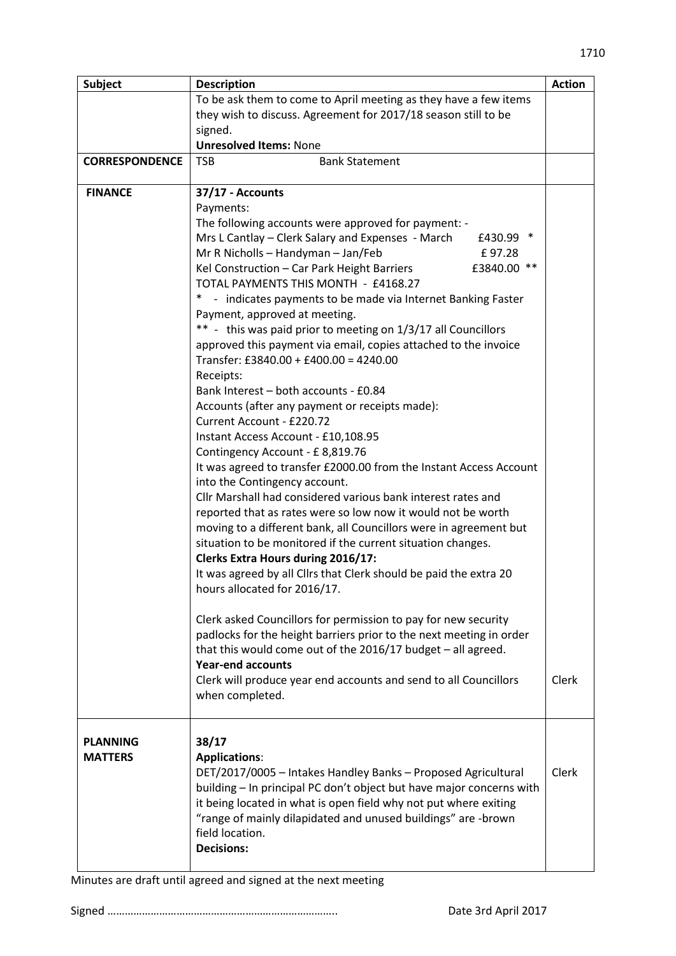| <b>Subject</b>                    | <b>Description</b>                                                     | <b>Action</b> |
|-----------------------------------|------------------------------------------------------------------------|---------------|
|                                   | To be ask them to come to April meeting as they have a few items       |               |
|                                   | they wish to discuss. Agreement for 2017/18 season still to be         |               |
|                                   | signed.                                                                |               |
|                                   | <b>Unresolved Items: None</b>                                          |               |
| <b>CORRESPONDENCE</b>             | <b>TSB</b><br><b>Bank Statement</b>                                    |               |
| <b>FINANCE</b>                    | 37/17 - Accounts                                                       |               |
|                                   | Payments:                                                              |               |
|                                   | The following accounts were approved for payment: -                    |               |
|                                   | $\ast$<br>Mrs L Cantlay – Clerk Salary and Expenses - March<br>£430.99 |               |
|                                   | Mr R Nicholls - Handyman - Jan/Feb<br>£97.28                           |               |
|                                   | $***$<br>Kel Construction - Car Park Height Barriers<br>£3840.00       |               |
|                                   | TOTAL PAYMENTS THIS MONTH - £4168.27                                   |               |
|                                   | - indicates payments to be made via Internet Banking Faster            |               |
|                                   | Payment, approved at meeting.                                          |               |
|                                   | ** - this was paid prior to meeting on 1/3/17 all Councillors          |               |
|                                   | approved this payment via email, copies attached to the invoice        |               |
|                                   | Transfer: £3840.00 + £400.00 = 4240.00<br>Receipts:                    |               |
|                                   | Bank Interest - both accounts - £0.84                                  |               |
|                                   | Accounts (after any payment or receipts made):                         |               |
|                                   | Current Account - £220.72                                              |               |
|                                   | Instant Access Account - £10,108.95                                    |               |
|                                   | Contingency Account - £8,819.76                                        |               |
|                                   | It was agreed to transfer £2000.00 from the Instant Access Account     |               |
|                                   | into the Contingency account.                                          |               |
|                                   | Cllr Marshall had considered various bank interest rates and           |               |
|                                   | reported that as rates were so low now it would not be worth           |               |
|                                   | moving to a different bank, all Councillors were in agreement but      |               |
|                                   | situation to be monitored if the current situation changes.            |               |
|                                   | <b>Clerks Extra Hours during 2016/17:</b>                              |               |
|                                   | It was agreed by all Cllrs that Clerk should be paid the extra 20      |               |
|                                   | hours allocated for 2016/17.                                           |               |
|                                   | Clerk asked Councillors for permission to pay for new security         |               |
|                                   | padlocks for the height barriers prior to the next meeting in order    |               |
|                                   | that this would come out of the 2016/17 budget - all agreed.           |               |
|                                   | <b>Year-end accounts</b>                                               |               |
|                                   | Clerk will produce year end accounts and send to all Councillors       | <b>Clerk</b>  |
|                                   | when completed.                                                        |               |
|                                   |                                                                        |               |
| <b>PLANNING</b><br><b>MATTERS</b> | 38/17<br><b>Applications:</b>                                          |               |
|                                   | DET/2017/0005 - Intakes Handley Banks - Proposed Agricultural          | Clerk         |
|                                   | building - In principal PC don't object but have major concerns with   |               |
|                                   | it being located in what is open field why not put where exiting       |               |
|                                   | "range of mainly dilapidated and unused buildings" are -brown          |               |
|                                   | field location.                                                        |               |
|                                   | <b>Decisions:</b>                                                      |               |
|                                   |                                                                        |               |